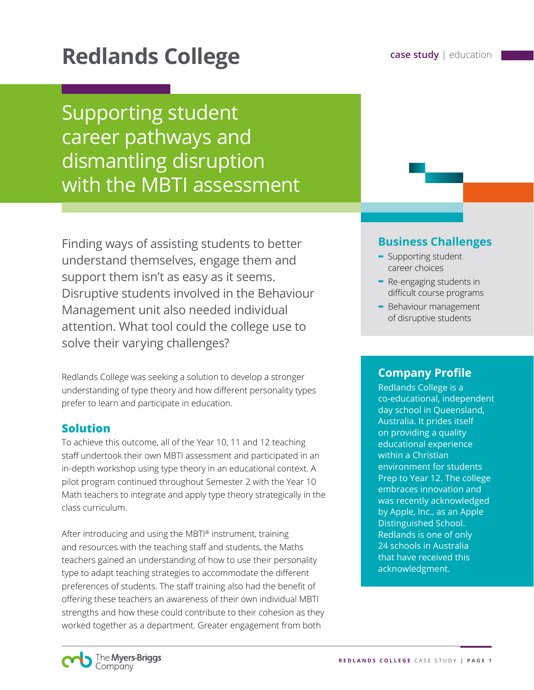# **Redlands College case study** | education

Supporting student career pathways and dismantling disruption with the MBTI assessment

Finding ways of assisting students to better understand themselves, engage them and support them isn't as easy as it seems. Disruptive students involved in the Behaviour Management unit also needed individual attention. What tool could the college use to solve their varying challenges?

Redlands College was seeking a solution to develop a stronger understanding of type theory and how different personality types prefer to learn and participate in education.

### **Solution**

To achieve this outcome, all of the Year 10, 11 and 12 teaching staff undertook their own MBTI assessment and participated in an in-depth workshop using type theory in an educational context. A pilot program continued throughout Semester 2 with the Year 10 Math teachers to integrate and apply type theory strategically in the class curriculum.

After introducing and using the MBTI® instrument, training and resources with the teaching staff and students, the Maths teachers gained an understanding of how to use their personality type to adapt teaching strategies to accommodate the different preferences of students. The staff training also had the benefit of offering these teachers an awareness of their own individual MBTI strengths and how these could contribute to their cohesion as they worked together as a department. Greater engagement from both

## **Business Challenges**

- **-** Supporting student career choices
- **-** Re-engaging students in difficult course programs
- **-** Behaviour management of disruptive students

### **Company Profile**

Redlands College is a co-educational, independent day school in Queensland, Australia. It prides itself on providing a quality educational experience within a Christian environment for students Prep to Year 12. The college embraces innovation and was recently acknowledged by Apple, Inc., as an Apple Distinguished School. Redlands is one of only 24 schools in Australia that have received this acknowledgment.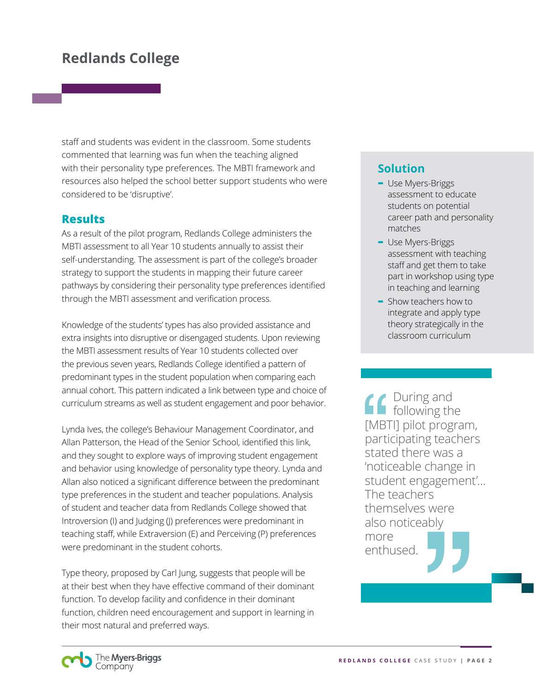# **Redlands College**

staff and students was evident in the classroom. Some students commented that learning was fun when the teaching aligned with their personality type preferences. The MBTI framework and resources also helped the school better support students who were considered to be 'disruptive'.

#### **Results**

As a result of the pilot program, Redlands College administers the MBTI assessment to all Year 10 students annually to assist their self-understanding. The assessment is part of the college's broader strategy to support the students in mapping their future career pathways by considering their personality type preferences identified through the MBTI assessment and verification process.

Knowledge of the students' types has also provided assistance and extra insights into disruptive or disengaged students. Upon reviewing the MBTI assessment results of Year 10 students collected over the previous seven years, Redlands College identified a pattern of predominant types in the student population when comparing each annual cohort. This pattern indicated a link between type and choice of curriculum streams as well as student engagement and poor behavior.

Lynda Ives, the college's Behaviour Management Coordinator, and Allan Patterson, the Head of the Senior School, identified this link, and they sought to explore ways of improving student engagement and behavior using knowledge of personality type theory. Lynda and Allan also noticed a significant difference between the predominant type preferences in the student and teacher populations. Analysis of student and teacher data from Redlands College showed that Introversion (I) and Judging (J) preferences were predominant in teaching staff, while Extraversion (E) and Perceiving (P) preferences were predominant in the student cohorts.

Type theory, proposed by Carl Jung, suggests that people will be at their best when they have effective command of their dominant function. To develop facility and confidence in their dominant function, children need encouragement and support in learning in their most natural and preferred ways.

## **Solution**

- **-** Use Myers-Briggs assessment to educate students on potential career path and personality matches
- **-** Use Myers-Briggs assessment with teaching staff and get them to take part in workshop using type in teaching and learning
- **-** Show teachers how to integrate and apply type theory strategically in the classroom curriculum

During and following the [MBTI] pilot program, participating teachers stated there was a 'noticeable change in student engagement'… The teachers themselves were also noticeably more enthused.

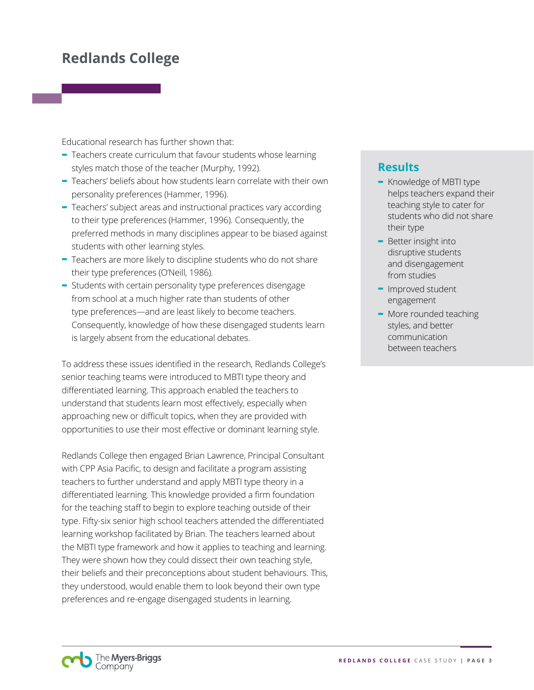# **Redlands College**

Educational research has further shown that:

- **-** Teachers create curriculum that favour students whose learning styles match those of the teacher (Murphy, 1992).
- **-** Teachers' beliefs about how students learn correlate with their own personality preferences (Hammer, 1996).
- **-** Teachers' subject areas and instructional practices vary according to their type preferences (Hammer, 1996). Consequently, the preferred methods in many disciplines appear to be biased against students with other learning styles.
- **-** Teachers are more likely to discipline students who do not share their type preferences (O'Neill, 1986).
- **-** Students with certain personality type preferences disengage from school at a much higher rate than students of other type preferences—and are least likely to become teachers. Consequently, knowledge of how these disengaged students learn is largely absent from the educational debates.

To address these issues identified in the research, Redlands College's senior teaching teams were introduced to MBTI type theory and differentiated learning. This approach enabled the teachers to understand that students learn most effectively, especially when approaching new or difficult topics, when they are provided with opportunities to use their most effective or dominant learning style.

Redlands College then engaged Brian Lawrence, Principal Consultant with CPP Asia Pacific, to design and facilitate a program assisting teachers to further understand and apply MBTI type theory in a differentiated learning. This knowledge provided a firm foundation for the teaching staff to begin to explore teaching outside of their type. Fifty-six senior high school teachers attended the differentiated learning workshop facilitated by Brian. The teachers learned about the MBTI type framework and how it applies to teaching and learning. They were shown how they could dissect their own teaching style, their beliefs and their preconceptions about student behaviours. This, they understood, would enable them to look beyond their own type preferences and re-engage disengaged students in learning.

## **Results**

- **-** Knowledge of MBTI type helps teachers expand their teaching style to cater for students who did not share their type
- **-** Better insight into disruptive students and disengagement from studies
- **-** Improved student engagement
- **-** More rounded teaching styles, and better communication between teachers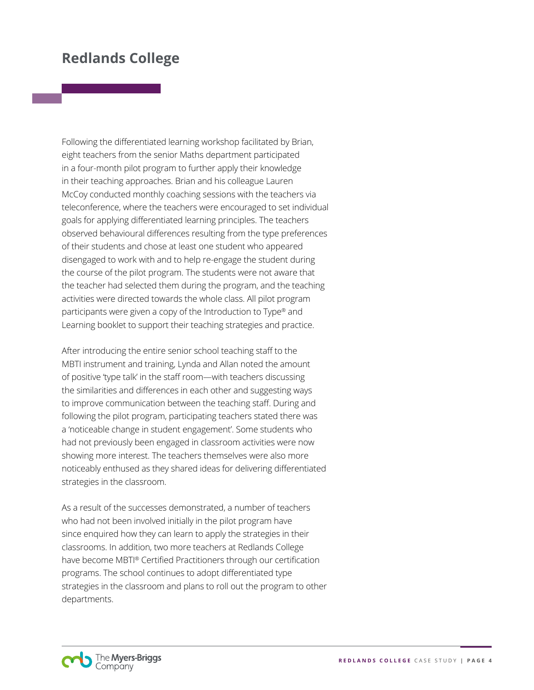## **Redlands College**

Following the differentiated learning workshop facilitated by Brian, eight teachers from the senior Maths department participated in a four-month pilot program to further apply their knowledge in their teaching approaches. Brian and his colleague Lauren McCoy conducted monthly coaching sessions with the teachers via teleconference, where the teachers were encouraged to set individual goals for applying differentiated learning principles. The teachers observed behavioural differences resulting from the type preferences of their students and chose at least one student who appeared disengaged to work with and to help re-engage the student during the course of the pilot program. The students were not aware that the teacher had selected them during the program, and the teaching activities were directed towards the whole class. All pilot program participants were given a copy of the Introduction to Type® and Learning booklet to support their teaching strategies and practice.

After introducing the entire senior school teaching staff to the MBTI instrument and training, Lynda and Allan noted the amount of positive 'type talk' in the staff room—with teachers discussing the similarities and differences in each other and suggesting ways to improve communication between the teaching staff. During and following the pilot program, participating teachers stated there was a 'noticeable change in student engagement'. Some students who had not previously been engaged in classroom activities were now showing more interest. The teachers themselves were also more noticeably enthused as they shared ideas for delivering differentiated strategies in the classroom.

As a result of the successes demonstrated, a number of teachers who had not been involved initially in the pilot program have since enquired how they can learn to apply the strategies in their classrooms. In addition, two more teachers at Redlands College have become MBTI® Certified Practitioners through our certification programs. The school continues to adopt differentiated type strategies in the classroom and plans to roll out the program to other departments.